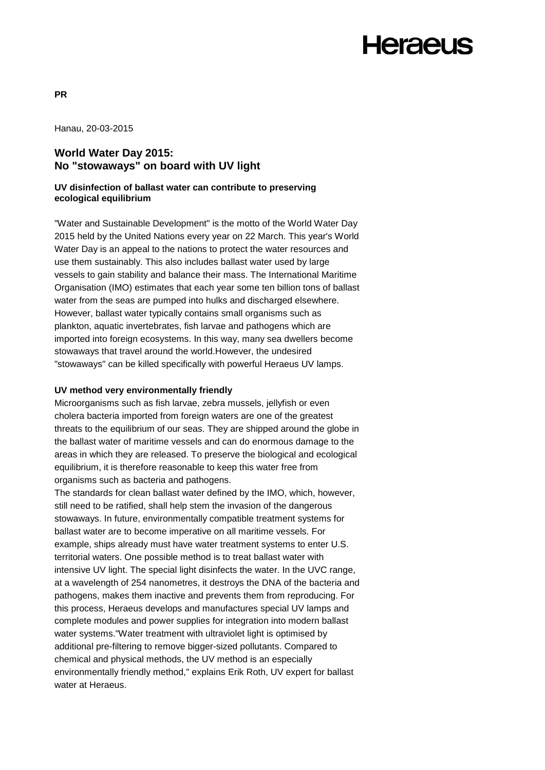### **Heraeus**

Hanau, 20-03-2015

### **World Water Day 2015: No "stowaways" on board with UV light**

### **UV disinfection of ballast water can contribute to preserving ecological equilibrium**

"Water and Sustainable Development" is the motto of the World Water Day 2015 held by the United Nations every year on 22 March. This year's World Water Day is an appeal to the nations to protect the water resources and use them sustainably. This also includes ballast water used by large vessels to gain stability and balance their mass. The International Maritime Organisation (IMO) estimates that each year some ten billion tons of ballast water from the seas are pumped into hulks and discharged elsewhere. However, ballast water typically contains small organisms such as plankton, aquatic invertebrates, fish larvae and pathogens which are imported into foreign ecosystems. In this way, many sea dwellers become stowaways that travel around the world.However, the undesired "stowaways" can be killed specifically with powerful Heraeus UV lamps.

### **UV method very environmentally friendly**

Microorganisms such as fish larvae, zebra mussels, jellyfish or even cholera bacteria imported from foreign waters are one of the greatest threats to the equilibrium of our seas. They are shipped around the globe in the ballast water of maritime vessels and can do enormous damage to the areas in which they are released. To preserve the biological and ecological equilibrium, it is therefore reasonable to keep this water free from organisms such as bacteria and pathogens.

The standards for clean ballast water defined by the IMO, which, however, still need to be ratified, shall help stem the invasion of the dangerous stowaways. In future, environmentally compatible treatment systems for ballast water are to become imperative on all maritime vessels. For example, ships already must have water treatment systems to enter U.S. territorial waters. One possible method is to treat ballast water with intensive UV light. The special light disinfects the water. In the UVC range, at a wavelength of 254 nanometres, it destroys the DNA of the bacteria and pathogens, makes them inactive and prevents them from reproducing. For this process, Heraeus develops and manufactures special UV lamps and complete modules and power supplies for integration into modern ballast water systems."Water treatment with ultraviolet light is optimised by additional pre-filtering to remove bigger-sized pollutants. Compared to chemical and physical methods, the UV method is an especially environmentally friendly method," explains Erik Roth, UV expert for ballast water at Heraeus.

**PR**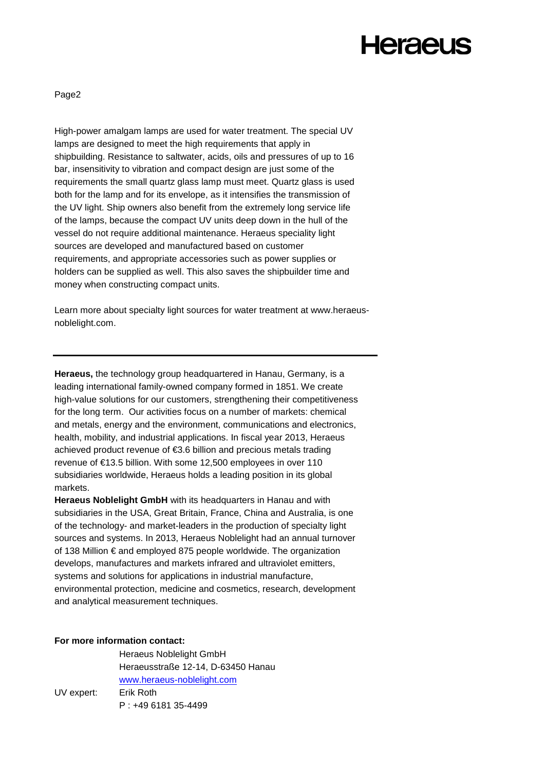# **Heraeus**

Page2

High-power amalgam lamps are used for water treatment. The special UV lamps are designed to meet the high requirements that apply in shipbuilding. Resistance to saltwater, acids, oils and pressures of up to 16 bar, insensitivity to vibration and compact design are just some of the requirements the small quartz glass lamp must meet. Quartz glass is used both for the lamp and for its envelope, as it intensifies the transmission of the UV light. Ship owners also benefit from the extremely long service life of the lamps, because the compact UV units deep down in the hull of the vessel do not require additional maintenance. Heraeus speciality light sources are developed and manufactured based on customer requirements, and appropriate accessories such as power supplies or holders can be supplied as well. This also saves the shipbuilder time and money when constructing compact units.

Learn more about specialty light sources for water treatment at [www.heraeus](http://www.heraeus-noblelight.com/)[noblelight.com.](http://www.heraeus-noblelight.com/)

**Heraeus,** the technology group headquartered in Hanau, Germany, is a leading international family-owned company formed in 1851. We create high-value solutions for our customers, strengthening their competitiveness for the long term. Our activities focus on a number of markets: chemical and metals, energy and the environment, communications and electronics, health, mobility, and industrial applications. In fiscal year 2013, Heraeus achieved product revenue of €3.6 billion and precious metals trading revenue of €13.5 billion. With some 12,500 employees in over 110 subsidiaries worldwide, Heraeus holds a leading position in its global markets.

**Heraeus Noblelight GmbH** with its headquarters in Hanau and with subsidiaries in the USA, Great Britain, France, China and Australia, is one of the technology- and market-leaders in the production of specialty light sources and systems. In 2013, Heraeus Noblelight had an annual turnover of 138 Million € and employed 875 people worldwide. The organization develops, manufactures and markets infrared and ultraviolet emitters, systems and solutions for applications in industrial manufacture, environmental protection, medicine and cosmetics, research, development and analytical measurement techniques.

### **For more information contact:**

Heraeus Noblelight GmbH Heraeusstraße 12-14, D-63450 Hanau [www.heraeus-noblelight.com](http://www.heraeus-noblelight.com/) UV expert: Erik Roth P : +49 6181 35-4499